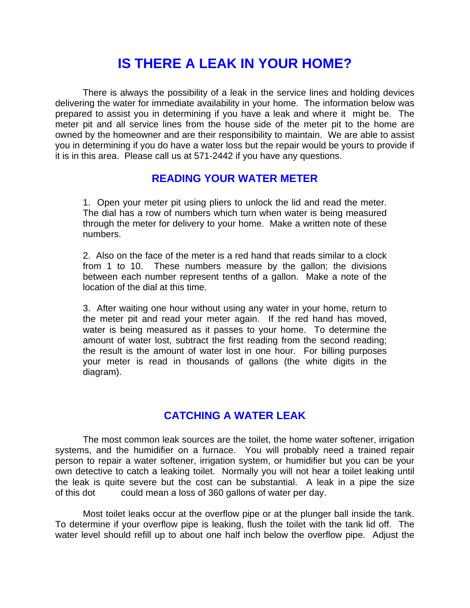## **IS THERE A LEAK IN YOUR HOME?**

There is always the possibility of a leak in the service lines and holding devices delivering the water for immediate availability in your home. The information below was prepared to assist you in determining if you have a leak and where it might be. The meter pit and all service lines from the house side of the meter pit to the home are owned by the homeowner and are their responsibility to maintain. We are able to assist you in determining if you do have a water loss but the repair would be yours to provide if it is in this area. Please call us at 571-2442 if you have any questions.

## **READING YOUR WATER METER**

1. Open your meter pit using pliers to unlock the lid and read the meter. The dial has a row of numbers which turn when water is being measured through the meter for delivery to your home. Make a written note of these numbers.

2. Also on the face of the meter is a red hand that reads similar to a clock from 1 to 10. These numbers measure by the gallon; the divisions between each number represent tenths of a gallon. Make a note of the location of the dial at this time.

3. After waiting one hour without using any water in your home, return to the meter pit and read your meter again. If the red hand has moved, water is being measured as it passes to your home. To determine the amount of water lost, subtract the first reading from the second reading; the result is the amount of water lost in one hour. For billing purposes your meter is read in thousands of gallons (the white digits in the diagram).

## **CATCHING A WATER LEAK**

The most common leak sources are the toilet, the home water softener, irrigation systems, and the humidifier on a furnace. You will probably need a trained repair person to repair a water softener, irrigation system, or humidifier but you can be your own detective to catch a leaking toilet. Normally you will not hear a toilet leaking until the leak is quite severe but the cost can be substantial. A leak in a pipe the size of this dot could mean a loss of 360 gallons of water per day.

 Most toilet leaks occur at the overflow pipe or at the plunger ball inside the tank. To determine if your overflow pipe is leaking, flush the toilet with the tank lid off. The water level should refill up to about one half inch below the overflow pipe. Adjust the